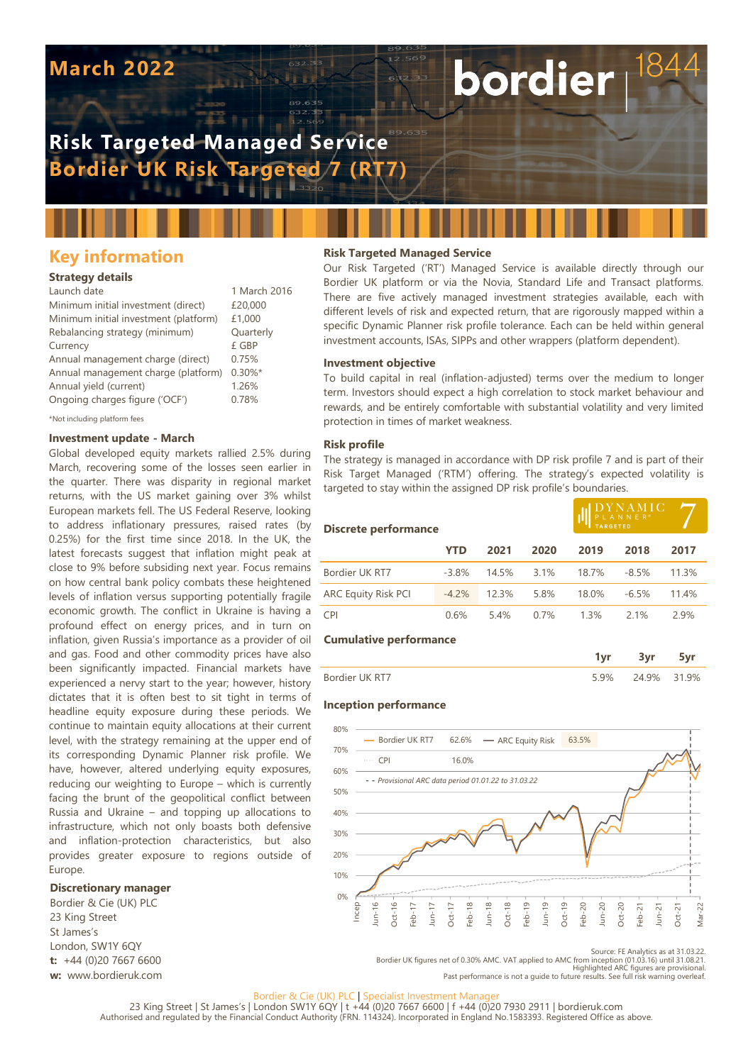# **March 2022**

# **Risk Targeted Managed Service Bordier UK Risk Targeted 7 (RT7)**

# **Key information**

# **Strategy details**

| Launch date                           | 1 March 2016 |
|---------------------------------------|--------------|
| Minimum initial investment (direct)   | £20,000      |
| Minimum initial investment (platform) | £1,000       |
| Rebalancing strategy (minimum)        | Quarterly    |
| Currency                              | £ GBP        |
| Annual management charge (direct)     | 0.75%        |
| Annual management charge (platform)   | $0.30\%$ *   |
| Annual yield (current)                | 1.26%        |
| Ongoing charges figure ('OCF')        | 0.78%        |
|                                       |              |

\*Not including platform fees

# **Investment update - March**

Global developed equity markets rallied 2.5% during March, recovering some of the losses seen earlier in the quarter. There was disparity in regional market returns, with the US market gaining over 3% whilst European markets fell. The US Federal Reserve, looking to address inflationary pressures, raised rates (by 0.25%) for the first time since 2018. In the UK, the latest forecasts suggest that inflation might peak at close to 9% before subsiding next year. Focus remains on how central bank policy combats these heightened levels of inflation versus supporting potentially fragile economic growth. The conflict in Ukraine is having a profound effect on energy prices, and in turn on inflation, given Russia's importance as a provider of oil and gas. Food and other commodity prices have also been significantly impacted. Financial markets have experienced a nervy start to the year; however, history dictates that it is often best to sit tight in terms of headline equity exposure during these periods. We continue to maintain equity allocations at their current level, with the strategy remaining at the upper end of its corresponding Dynamic Planner risk profile. We have, however, altered underlying equity exposures, reducing our weighting to Europe – which is currently facing the brunt of the geopolitical conflict between Russia and Ukraine – and topping up allocations to infrastructure, which not only boasts both defensive and inflation-protection characteristics, but also provides greater exposure to regions outside of Europe.

#### **Discretionary manager**

Bordier & Cie (UK) PLC 23 King Street St James's London, SW1Y 6QY **t:** +44 (0)20 7667 6600 **w:** www.bordieruk.com

## **Risk Targeted Managed Service**

Our Risk Targeted ('RT') Managed Service is available directly through our Bordier UK platform or via the Novia, Standard Life and Transact platforms. There are five actively managed investment strategies available, each with different levels of risk and expected return, that are rigorously mapped within a specific Dynamic Planner risk profile tolerance. Each can be held within general investment accounts, ISAs, SIPPs and other wrappers (platform dependent).

bordier

#### **Investment objective**

To build capital in real (inflation-adjusted) terms over the medium to longer term. Investors should expect a high correlation to stock market behaviour and rewards, and be entirely comfortable with substantial volatility and very limited protection in times of market weakness.

#### **Risk profile**

The strategy is managed in accordance with DP risk profile 7 and is part of their Risk Target Managed ('RTM') offering. The strategy's expected volatility is targeted to stay within the assigned DP risk profile's boundaries.

| <b>Discrete performance</b>   |         |       | DYNAMIC<br>PLANNER®<br><b>TARGETED</b> |       |         |       |  |
|-------------------------------|---------|-------|----------------------------------------|-------|---------|-------|--|
|                               | YTD     | 2021  | 2020                                   | 2019  | 2018    | 2017  |  |
| Bordier UK RT7                | $-3.8%$ | 14.5% | 3.1%                                   | 18.7% | $-8.5%$ | 11.3% |  |
| <b>ARC Equity Risk PCI</b>    | $-4.2%$ | 12.3% | 5.8%                                   | 18.0% | $-6.5%$ | 11.4% |  |
| <b>CPI</b>                    | 0.6%    | 5.4%  | 0.7%                                   | 1.3%  | 2.1%    | 2.9%  |  |
| <b>Cumulative performance</b> |         |       |                                        |       |         |       |  |
|                               |         |       |                                        | 1vr   | 3vr     |       |  |

|                |    | __    |    |
|----------------|----|-------|----|
| Bordier UK RT7 | ЧИ | 24.9% | 9% |

#### **Inception performance**



Source: FE Analytics as at 31.03.22.

Bordier UK figures net of 0.30% AMC. VAT applied to AMC from inception (01.03.16) until 31.08.21.<br>Highlighted ARC figures are provisional.<br>Past performance is not a quide to future results. See full risk warning overleaf.

#### Bordier & Cie (UK) PLC | Specialist Investment Manage

23 King Street | St James's | London SW1Y 6QY | t +44 (0)20 7667 6600 | f +44 (0)20 7930 2911 | bordieruk.com<br>Authorised and regulated by the Financial Conduct Authority (FRN. 114324). Incorporated in England No.1583393. R